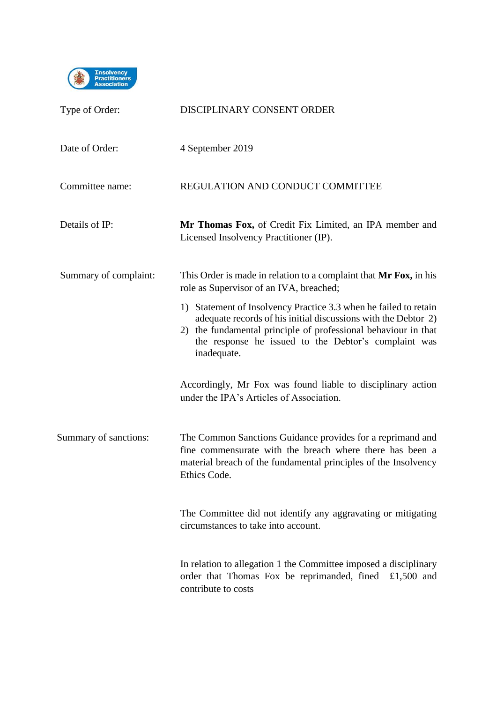

| Type of Order:        | DISCIPLINARY CONSENT ORDER                                                                                                                                                                                                                                                  |
|-----------------------|-----------------------------------------------------------------------------------------------------------------------------------------------------------------------------------------------------------------------------------------------------------------------------|
| Date of Order:        | 4 September 2019                                                                                                                                                                                                                                                            |
| Committee name:       | REGULATION AND CONDUCT COMMITTEE                                                                                                                                                                                                                                            |
| Details of IP:        | Mr Thomas Fox, of Credit Fix Limited, an IPA member and<br>Licensed Insolvency Practitioner (IP).                                                                                                                                                                           |
| Summary of complaint: | This Order is made in relation to a complaint that Mr Fox, in his<br>role as Supervisor of an IVA, breached;                                                                                                                                                                |
|                       | 1) Statement of Insolvency Practice 3.3 when he failed to retain<br>adequate records of his initial discussions with the Debtor 2)<br>2) the fundamental principle of professional behaviour in that<br>the response he issued to the Debtor's complaint was<br>inadequate. |
|                       | Accordingly, Mr Fox was found liable to disciplinary action<br>under the IPA's Articles of Association.                                                                                                                                                                     |
| Summary of sanctions: | The Common Sanctions Guidance provides for a reprimand and<br>fine commensurate with the breach where there has been a<br>material breach of the fundamental principles of the Insolvency<br>Ethics Code.                                                                   |
|                       | The Committee did not identify any aggravating or mitigating<br>circumstances to take into account.                                                                                                                                                                         |
|                       | In relation to allegation 1 the Committee imposed a disciplinary<br>order that Thomas Fox be reprimanded, fined £1,500 and<br>contribute to costs                                                                                                                           |